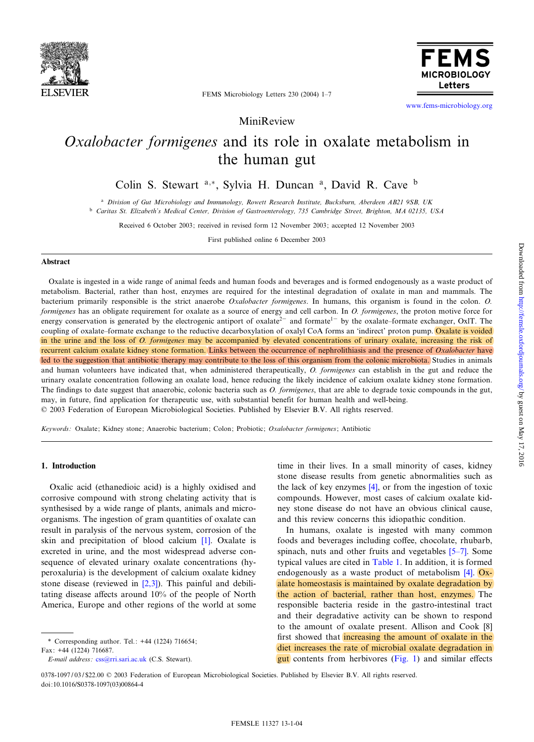

**FEMS MICROBIOLOGY** Letters

FEMS Microbiology Letters 230 (2004) 1-7

[www.fems-microbiology.org](http://www.fems-microbiology.org)

MiniReview

# Oxalobacter formigenes and its role in oxalate metabolism in the human gut

Colin S. Stewart <sup>a,\*</sup>, Sylvia H. Duncan <sup>a</sup>, David R. Cave <sup>b</sup>

a Division of Gut Microbiology and Immunology, Rowett Research Institute, Bucksburn, Aberdeen AB21 9SB, UK

<sup>b</sup> Caritas St. Elizabeth's Medical Center, Division of Gastroenterology, 735 Cambridge Street, Brighton, MA 02135, USA

Received 6 October 2003; received in revised form 12 November 2003; accepted 12 November 2003

First published online 6 December 2003

#### Abstract

Oxalate is ingested in a wide range of animal feeds and human foods and beverages and is formed endogenously as a waste product of metabolism. Bacterial, rather than host, enzymes are required for the intestinal degradation of oxalate in man and mammals. The bacterium primarily responsible is the strict anaerobe Oxalobacter formigenes. In humans, this organism is found in the colon. O. formigenes has an obligate requirement for oxalate as a source of energy and cell carbon. In O. formigenes, the proton motive force for energy conservation is generated by the electrogenic antiport of oxalate<sup>2-</sup> and formate<sup>1-</sup> by the oxalate-formate exchanger, OxlT. The coupling of oxalate–formate exchange to the reductive decarboxylation of oxalyl CoA forms an 'indirect' proton pump. Oxalate is voided in the urine and the loss of O. formigenes may be accompanied by elevated concentrations of urinary oxalate, increasing the risk of recurrent calcium oxalate kidney stone formation. Links between the occurrence of nephrolithiasis and the presence of Oxalobacter have led to the suggestion that antibiotic therapy may contribute to the loss of this organism from the colonic microbiota. Studies in animals and human volunteers have indicated that, when administered therapeutically, O. formigenes can establish in the gut and reduce the urinary oxalate concentration following an oxalate load, hence reducing the likely incidence of calcium oxalate kidney stone formation. The findings to date suggest that anaerobic, colonic bacteria such as O. formigenes, that are able to degrade toxic compounds in the gut, may, in future, find application for therapeutic use, with substantial benefit for human health and well-being. 4 2003 Federation of European Microbiological Societies. Published by Elsevier B.V. All rights reserved.

Keywords: Oxalate; Kidney stone; Anaerobic bacterium; Colon; Probiotic; Oxalobacter formigenes; Antibiotic

#### 1. Introduction

Oxalic acid (ethanedioic acid) is a highly oxidised and corrosive compound with strong chelating activity that is synthesised by a wide range of plants, animals and microorganisms. The ingestion of gram quantities of oxalate can result in paralysis of the nervous system, corrosion of the skin and precipitation of blood calcium [\[1\].](#page-5-0) Oxalate is excreted in urine, and the most widespread adverse consequence of elevated urinary oxalate concentrations (hyperoxaluria) is the development of calcium oxalate kidney stone disease (reviewed in  $[2,3]$ ). This painful and debilitating disease affects around  $10\%$  of the people of North America, Europe and other regions of the world at some

doi:10.1016/S0378-1097(03)00864-4

time in their lives. In a small minority of cases, kidney stone disease results from genetic abnormalities such as the lack of key enzymes [\[4\],](#page-5-0) or from the ingestion of toxic compounds. However, most cases of calcium oxalate kidney stone disease do not have an obvious clinical cause, and this review concerns this idiopathic condition.

In humans, oxalate is ingested with many common foods and beverages including coffee, chocolate, rhubarb, spinach, nuts and other fruits and vegetables  $[5-7]$ . Some typical values are cited in [Table 1.](#page-1-0) In addition, it is formed endogenously as a waste product of metabolism [\[4\].](#page-5-0) Oxalate homeostasis is maintained by oxalate degradation by the action of bacterial, rather than host, enzymes. The responsible bacteria reside in the gastro-intestinal tract and their degradative activity can be shown to respond to the amount of oxalate present. Allison and Cook [\[8\]](#page-5-0) first showed that increasing the amount of oxalate in the diet increases the rate of microbial oxalate degradation in gut contents from herbivores  $(Fig. 1)$  and similar effects

<sup>\*</sup> Corresponding author. Tel.: +44 (1224) 716654;

Fax: +44 (1224) 716687. E-mail address: [css@rri.sari.ac.uk](mailto:css@rri.sari.ac.uk) (C.S. Stewart).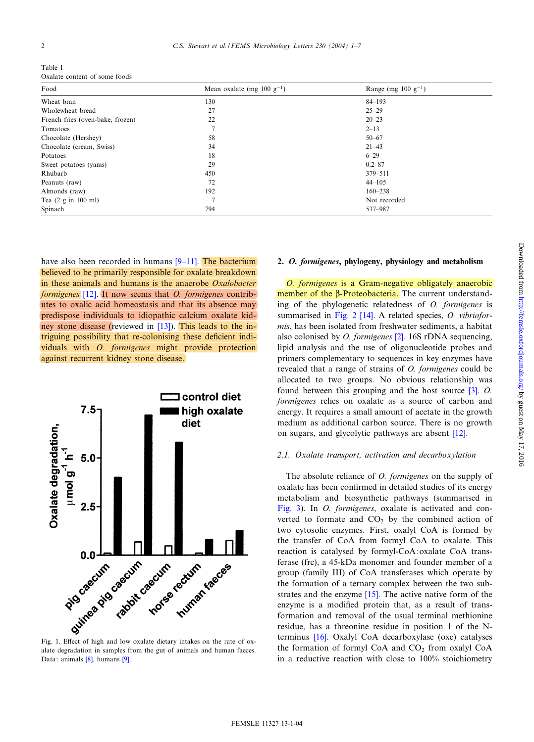<span id="page-1-0"></span>

| Table 1                       |  |  |
|-------------------------------|--|--|
| Oxalate content of some foods |  |  |

| Food                                   | Mean oxalate (mg 100 g <sup>-1</sup> ) | Range (mg 100 g <sup>-1</sup> ) |  |
|----------------------------------------|----------------------------------------|---------------------------------|--|
| Wheat bran                             | 130                                    | $84 - 193$                      |  |
| Wholewheat bread                       | 27                                     | $25 - 29$                       |  |
| French fries (oven-bake, frozen)       | 22                                     | $20 - 23$                       |  |
| Tomatoes                               | $\mathcal{L}$                          | $2 - 13$                        |  |
| Chocolate (Hershey)                    | 58                                     | $50 - 67$                       |  |
| Chocolate (cream, Swiss)               | 34                                     | $21 - 43$                       |  |
| Potatoes                               | 18                                     | $6 - 29$                        |  |
| Sweet potatoes (yams)                  | 29                                     | $0.2 - 87$                      |  |
| Rhubarb                                | 450                                    | 379-511                         |  |
| Peanuts (raw)                          | 72                                     | $44 - 105$                      |  |
| Almonds (raw)                          | 192                                    | $160 - 238$                     |  |
| Tea $(2 \text{ g in } 100 \text{ ml})$ | ┑                                      | Not recorded                    |  |
| Spinach                                | 794                                    | 537-987                         |  |

have also been recorded in humans  $[9-11]$ . The bacterium believed to be primarily responsible for oxalate breakdown in these animals and humans is the anaerobe Oxalobacter formigenes [\[12\]](#page-5-0). It now seems that O. formigenes contributes to oxalic acid homeostasis and that its absence may predispose individuals to idiopathic calcium oxalate kidney stone disease (reviewed in [\[13\]\)](#page-5-0). This leads to the intriguing possibility that re-colonising these deficient individuals with O. formigenes might provide protection against recurrent kidney stone disease.



alate degradation in samples from the gut of animals and human faeces. Data: animals [\[8\],](#page-5-0) humans [\[9\]](#page-5-0).

# 2. O. formigenes, phylogeny, physiology and metabolism

O. formigenes is a Gram-negative obligately anaerobic member of the B-Proteobacteria. The current understanding of the phylogenetic relatedness of O. formigenes is summarised in [Fig. 2](#page-2-0) [\[14\].](#page-5-0) A related species, *O. vibriofor*mis, has been isolated from freshwater sediments, a habitat also colonised by O. formigenes [\[2\].](#page-5-0) 16S rDNA sequencing, lipid analysis and the use of oligonucleotide probes and primers complementary to sequences in key enzymes have revealed that a range of strains of O. formigenes could be allocated to two groups. No obvious relationship was found between this grouping and the host source [\[3\]](#page-5-0). O. formigenes relies on oxalate as a source of carbon and energy. It requires a small amount of acetate in the growth medium as additional carbon source. There is no growth on sugars, and glycolytic pathways are absent [\[12\]](#page-5-0).

#### 2.1. Oxalate transport, activation and decarboxylation

The absolute reliance of *O. formigenes* on the supply of oxalate has been confirmed in detailed studies of its energy metabolism and biosynthetic pathways (summarised in [Fig. 3\)](#page-3-0). In O. formigenes, oxalate is activated and converted to formate and  $CO<sub>2</sub>$  by the combined action of two cytosolic enzymes. First, oxalyl CoA is formed by the transfer of CoA from formyl CoA to oxalate. This reaction is catalysed by formyl-CoA:oxalate CoA transferase (frc), a 45-kDa monomer and founder member of a group (family III) of CoA transferases which operate by the formation of a ternary complex between the two substrates and the enzyme [\[15\]](#page-5-0). The active native form of the enzyme is a modified protein that, as a result of transformation and removal of the usual terminal methionine residue, has a threonine residue in position 1 of the Nterminus [\[16\].](#page-5-0) Oxalyl CoA decarboxylase (oxc) catalyses the formation of formyl CoA and  $CO<sub>2</sub>$  from oxalyl CoA in a reductive reaction with close to 100% stoichiometry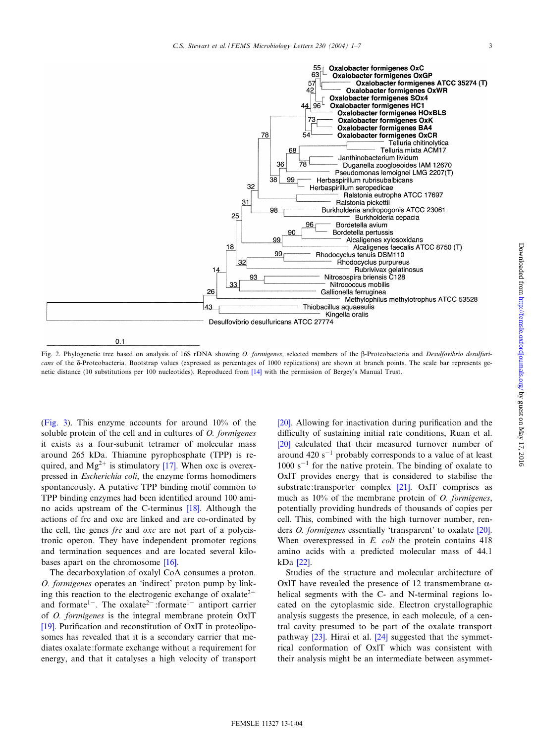<span id="page-2-0"></span>

Fig. 2. Phylogenetic tree based on analysis of 16S rDNA showing O. formigenes, selected members of the  $\beta$ -Proteobacteria and Desulfovibrio desulfuricans of the 8-Proteobacteria. Bootstrap values (expressed as percentages of 1000 replications) are shown at branch points. The scale bar represents ge-netic distance (10 substitutions per 100 nucleotides). Reproduced from [\[14\]](#page-5-0) with the permission of Bergey's Manual Trust.

[\(Fig. 3](#page-3-0)). This enzyme accounts for around 10% of the soluble protein of the cell and in cultures of O. formigenes it exists as a four-subunit tetramer of molecular mass around 265 kDa. Thiamine pyrophosphate (TPP) is required, and  $Mg^{2+}$  is stimulatory [\[17\]](#page-5-0). When oxc is overexpressed in Escherichia coli, the enzyme forms homodimers spontaneously. A putative TPP binding motif common to TPP binding enzymes had been identified around 100 amino acids upstream of the C-terminus [\[18\].](#page-5-0) Although the actions of frc and oxc are linked and are co-ordinated by the cell, the genes  $\beta$  frc and oxc are not part of a polycistronic operon. They have independent promoter regions and termination sequences and are located several kilobases apart on the chromosome  $[16]$ .

The decarboxylation of oxalyl CoA consumes a proton. O. formigenes operates an 'indirect' proton pump by linking this reaction to the electrogenic exchange of oxalate<sup>2-</sup> and formate<sup>1-</sup>. The oxalate<sup>2-</sup>:formate<sup>1-</sup> antiport carrier of O. formigenes is the integral membrane protein OxlT [\[19\].](#page-5-0) Purification and reconstitution of OxlT in proteoliposomes has revealed that it is a secondary carrier that mediates oxalate:formate exchange without a requirement for energy, and that it catalyses a high velocity of transport [\[20\].](#page-5-0) Allowing for inactivation during purification and the difficulty of sustaining initial rate conditions, Ruan et al. [\[20\]](#page-5-0) calculated that their measured turnover number of around 420 s<sup>-1</sup> probably corresponds to a value of at least  $1000 s<sup>-1</sup>$  for the native protein. The binding of oxalate to OxlT provides energy that is considered to stabilise the substrate:transporter complex [\[21\]](#page-5-0). OxlT comprises as much as  $10\%$  of the membrane protein of O. formigenes, potentially providing hundreds of thousands of copies per cell. This, combined with the high turnover number, renders *O. formigenes* essentially 'transparent' to oxalate [\[20\]](#page-5-0). When overexpressed in E. coli the protein contains 418 amino acids with a predicted molecular mass of 44.1 kDa [\[22\]](#page-5-0).

Studies of the structure and molecular architecture of OxlT have revealed the presence of 12 transmembrane  $\alpha$ helical segments with the C- and N-terminal regions located on the cytoplasmic side. Electron crystallographic analysis suggests the presence, in each molecule, of a central cavity presumed to be part of the oxalate transport pathway [\[23\]](#page-5-0). Hirai et al. [\[24\]](#page-5-0) suggested that the symmetrical conformation of OxlT which was consistent with their analysis might be an intermediate between asymmet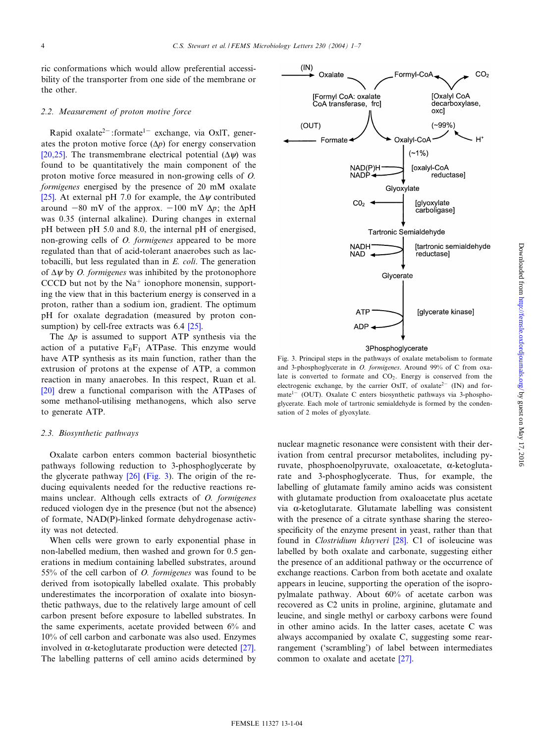<span id="page-3-0"></span>ric conformations which would allow preferential accessibility of the transporter from one side of the membrane or the other.

#### 2.2. Measurement of proton motive force

Rapid oxalate<sup>2-</sup>:formate<sup>1-</sup> exchange, via OxlT, generates the proton motive force  $(\Delta p)$  for energy conservation [\[20,25\].](#page-5-0) The transmembrane electrical potential  $(\Delta \psi)$  was found to be quantitatively the main component of the proton motive force measured in non-growing cells of O. formigenes energised by the presence of 20 mM oxalate [\[25\].](#page-5-0) At external pH 7.0 for example, the  $\Delta \psi$  contributed around  $-80$  mV of the approx.  $-100$  mV  $\Delta p$ ; the  $\Delta p$ H was 0.35 (internal alkaline). During changes in external pH between pH 5.0 and 8.0, the internal pH of energised, non-growing cells of O. formigenes appeared to be more regulated than that of acid-tolerant anaerobes such as lactobacilli, but less regulated than in E. coli. The generation of  $\Delta \psi$  by O. formigenes was inhibited by the protonophore CCCD but not by the  $Na<sup>+</sup>$  ionophore monensin, supporting the view that in this bacterium energy is conserved in a proton, rather than a sodium ion, gradient. The optimum pH for oxalate degradation (measured by proton con-sumption) by cell-free extracts was 6.4 [\[25\].](#page-5-0)

The  $\Delta p$  is assumed to support ATP synthesis via the action of a putative  $F_0F_1$  ATPase. This enzyme would have ATP synthesis as its main function, rather than the extrusion of protons at the expense of ATP, a common reaction in many anaerobes. In this respect, Ruan et al. [\[20\]](#page-5-0) drew a functional comparison with the ATPases of some methanol-utilising methanogens, which also serve to generate ATP.

#### 2.3. Biosynthetic pathways

Oxalate carbon enters common bacterial biosynthetic pathways following reduction to 3-phosphoglycerate by the glycerate pathway [\[26\]](#page-5-0) (Fig. 3). The origin of the reducing equivalents needed for the reductive reactions remains unclear. Although cells extracts of O. formigenes reduced viologen dye in the presence (but not the absence) of formate, NAD(P)-linked formate dehydrogenase activity was not detected.

When cells were grown to early exponential phase in non-labelled medium, then washed and grown for 0.5 generations in medium containing labelled substrates, around 55% of the cell carbon of O. formigenes was found to be derived from isotopically labelled oxalate. This probably underestimates the incorporation of oxalate into biosynthetic pathways, due to the relatively large amount of cell carbon present before exposure to labelled substrates. In the same experiments, acetate provided between 6% and 10% of cell carbon and carbonate was also used. Enzymes involved in  $\alpha$ -ketoglutarate production were detected [\[27\]](#page-5-0). The labelling patterns of cell amino acids determined by



Fig. 3. Principal steps in the pathways of oxalate metabolism to formate and 3-phosphoglycerate in O. formigenes. Around 99% of C from oxalate is converted to formate and  $CO<sub>2</sub>$ . Energy is conserved from the electrogenic exchange, by the carrier OxlT, of oxalate<sup>2-</sup> (IN) and formate<sup>1-</sup> (OUT). Oxalate C enters biosynthetic pathways via 3-phosphoglycerate. Each mole of tartronic semialdehyde is formed by the condensation of 2 moles of glyoxylate.

nuclear magnetic resonance were consistent with their derivation from central precursor metabolites, including pyruvate, phosphoenolpyruvate, oxaloacetate,  $\alpha$ -ketoglutarate and 3-phosphoglycerate. Thus, for example, the labelling of glutamate family amino acids was consistent with glutamate production from oxaloacetate plus acetate via  $\alpha$ -ketoglutarate. Glutamate labelling was consistent with the presence of a citrate synthase sharing the stereospecificity of the enzyme present in yeast, rather than that found in *Clostridium kluyveri* [\[28\].](#page-6-0) C1 of isoleucine was labelled by both oxalate and carbonate, suggesting either the presence of an additional pathway or the occurrence of exchange reactions. Carbon from both acetate and oxalate appears in leucine, supporting the operation of the isopropylmalate pathway. About 60% of acetate carbon was recovered as C2 units in proline, arginine, glutamate and leucine, and single methyl or carboxy carbons were found in other amino acids. In the latter cases, acetate C was always accompanied by oxalate C, suggesting some rearrangement ('scrambling') of label between intermediates common to oxalate and acetate [\[27\].](#page-5-0)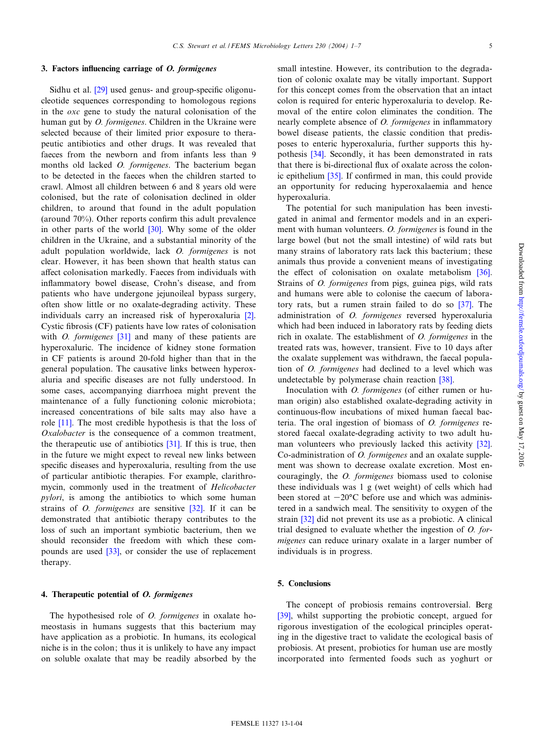# 3. Factors influencing carriage of  $O.$  formigenes

Sidhu et al. <a>[\[29\]](#page-6-0)</a> used genus- and group-specific oligonucleotide sequences corresponding to homologous regions in the  $\alpha x c$  gene to study the natural colonisation of the human gut by *O. formigenes*. Children in the Ukraine were selected because of their limited prior exposure to therapeutic antibiotics and other drugs. It was revealed that faeces from the newborn and from infants less than 9 months old lacked *O. formigenes*. The bacterium began to be detected in the faeces when the children started to crawl. Almost all children between 6 and 8 years old were colonised, but the rate of colonisation declined in older children, to around that found in the adult population (around  $70\%$ ). Other reports confirm this adult prevalence in other parts of the world  $[30]$ . Why some of the older children in the Ukraine, and a substantial minority of the adult population worldwide, lack O. formigenes is not clear. However, it has been shown that health status can affect colonisation markedly. Faeces from individuals with inflammatory bowel disease, Crohn's disease, and from patients who have undergone jejunoileal bypass surgery, often show little or no oxalate-degrading activity. These individuals carry an increased risk of hyperoxaluria [\[2\]](#page-5-0). Cystic fibrosis (CF) patients have low rates of colonisation with  $O$ . formigenes  $[31]$  and many of these patients are hyperoxaluric. The incidence of kidney stone formation in CF patients is around 20-fold higher than that in the general population. The causative links between hyperoxaluria and specific diseases are not fully understood. In some cases, accompanying diarrhoea might prevent the maintenance of a fully functioning colonic microbiota; increased concentrations of bile salts may also have a role [\[11\]](#page-5-0). The most credible hypothesis is that the loss of Oxalobacter is the consequence of a common treatment, the therapeutic use of antibiotics [\[31\].](#page-6-0) If this is true, then in the future we might expect to reveal new links between specific diseases and hyperoxaluria, resulting from the use of particular antibiotic therapies. For example, clarithromycin, commonly used in the treatment of Helicobacter pylori, is among the antibiotics to which some human strains of O. formigenes are sensitive [\[32\]](#page-6-0). If it can be demonstrated that antibiotic therapy contributes to the loss of such an important symbiotic bacterium, then we should reconsider the freedom with which these compounds are used [\[33\]](#page-6-0), or consider the use of replacement therapy.

## 4. Therapeutic potential of O. formigenes

The hypothesised role of O. formigenes in oxalate homeostasis in humans suggests that this bacterium may have application as a probiotic. In humans, its ecological niche is in the colon; thus it is unlikely to have any impact on soluble oxalate that may be readily absorbed by the small intestine. However, its contribution to the degradation of colonic oxalate may be vitally important. Support for this concept comes from the observation that an intact colon is required for enteric hyperoxaluria to develop. Removal of the entire colon eliminates the condition. The nearly complete absence of *O. formigenes* in inflammatory bowel disease patients, the classic condition that predisposes to enteric hyperoxaluria, further supports this hypothesis [\[34\].](#page-6-0) Secondly, it has been demonstrated in rats that there is bi-directional flux of oxalate across the colonic epithelium  $[35]$ . If confirmed in man, this could provide an opportunity for reducing hyperoxalaemia and hence hyperoxaluria.

The potential for such manipulation has been investigated in animal and fermentor models and in an experiment with human volunteers. O. formigenes is found in the large bowel (but not the small intestine) of wild rats but many strains of laboratory rats lack this bacterium; these animals thus provide a convenient means of investigating the effect of colonisation on oxalate metabolism  $[36]$ . Strains of O. formigenes from pigs, guinea pigs, wild rats and humans were able to colonise the caecum of laboratory rats, but a rumen strain failed to do so [\[37\].](#page-6-0) The administration of O. formigenes reversed hyperoxaluria which had been induced in laboratory rats by feeding diets rich in oxalate. The establishment of O. formigenes in the treated rats was, however, transient. Five to 10 days after the oxalate supplement was withdrawn, the faecal population of O. formigenes had declined to a level which was undetectable by polymerase chain reaction [\[38\]](#page-6-0).

Inoculation with O. formigenes (of either rumen or human origin) also established oxalate-degrading activity in continuous-flow incubations of mixed human faecal bacteria. The oral ingestion of biomass of O. formigenes restored faecal oxalate-degrading activity to two adult human volunteers who previously lacked this activity [\[32\]](#page-6-0). Co-administration of O. formigenes and an oxalate supplement was shown to decrease oxalate excretion. Most encouragingly, the O. formigenes biomass used to colonise these individuals was 1 g (wet weight) of cells which had been stored at  $-20^{\circ}$ C before use and which was administered in a sandwich meal. The sensitivity to oxygen of the strain [\[32\]](#page-6-0) did not prevent its use as a probiotic. A clinical trial designed to evaluate whether the ingestion of O. formigenes can reduce urinary oxalate in a larger number of individuals is in progress.

# 5. Conclusions

The concept of probiosis remains controversial. Berg [\[39\],](#page-6-0) whilst supporting the probiotic concept, argued for rigorous investigation of the ecological principles operating in the digestive tract to validate the ecological basis of probiosis. At present, probiotics for human use are mostly incorporated into fermented foods such as yoghurt or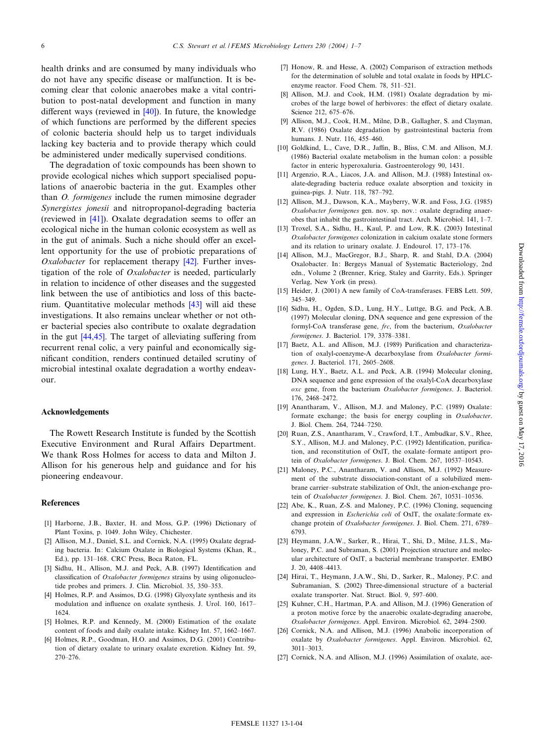<span id="page-5-0"></span>health drinks and are consumed by many individuals who do not have any specific disease or malfunction. It is becoming clear that colonic anaerobes make a vital contribution to post-natal development and function in many different ways (reviewed in  $[40]$ ). In future, the knowledge of which functions are performed by the different species of colonic bacteria should help us to target individuals lacking key bacteria and to provide therapy which could be administered under medically supervised conditions.

The degradation of toxic compounds has been shown to provide ecological niches which support specialised populations of anaerobic bacteria in the gut. Examples other than O. formigenes include the rumen mimosine degrader Synergistes jonesii and nitropropanol-degrading bacteria (reviewed in  $[41]$ ). Oxalate degradation seems to offer an ecological niche in the human colonic ecosystem as well as in the gut of animals. Such a niche should offer an excellent opportunity for the use of probiotic preparations of Oxalobacter for replacement therapy [\[42\].](#page-6-0) Further investigation of the role of Oxalobacter is needed, particularly in relation to incidence of other diseases and the suggested link between the use of antibiotics and loss of this bacterium. Quantitative molecular methods [\[43\]](#page-6-0) will aid these investigations. It also remains unclear whether or not other bacterial species also contribute to oxalate degradation in the gut  $[44, 45]$ . The target of alleviating suffering from recurrent renal colic, a very painful and economically significant condition, renders continued detailed scrutiny of microbial intestinal oxalate degradation a worthy endeavour.

## Acknowledgements

The Rowett Research Institute is funded by the Scottish Executive Environment and Rural Affairs Department. We thank Ross Holmes for access to data and Milton J. Allison for his generous help and guidance and for his pioneering endeavour.

#### References

- [1] Harborne, J.B., Baxter, H. and Moss, G.P. (1996) Dictionary of Plant Toxins, p. 1049. John Wiley, Chichester.
- [2] Allison, M.J., Daniel, S.L. and Cornick, N.A. (1995) Oxalate degrading bacteria. In: Calcium Oxalate in Biological Systems (Khan, R., Ed.), pp. 131^168. CRC Press, Boca Raton, FL.
- [3] Sidhu, H., Allison, M.J. and Peck, A.B. (1997) Identification and classification of *Oxalobacter formigenes* strains by using oligonucleotide probes and primers. J. Clin. Microbiol. 35, 350–353.
- [4] Holmes, R.P. and Assimos, D.G. (1998) Glyoxylate synthesis and its modulation and influence on oxalate synthesis. J. Urol. 160, 1617-1624.
- [5] Holmes, R.P. and Kennedy, M. (2000) Estimation of the oxalate content of foods and daily oxalate intake. Kidney Int. 57, 1662-1667.
- [6] Holmes, R.P., Goodman, H.O. and Assimos, D.G. (2001) Contribution of dietary oxalate to urinary oxalate excretion. Kidney Int. 59, 270^276.
- [7] Honow, R. and Hesse, A. (2002) Comparison of extraction methods for the determination of soluble and total oxalate in foods by HPLCenzyme reactor. Food Chem. 78, 511-521.
- [8] Allison, M.J. and Cook, H.M. (1981) Oxalate degradation by microbes of the large bowel of herbivores: the effect of dietary oxalate. Science 212, 675-676.
- [9] Allison, M.J., Cook, H.M., Milne, D.B., Gallagher, S. and Clayman, R.V. (1986) Oxalate degradation by gastrointestinal bacteria from humans. J. Nutr. 116, 455-460.
- [10] Goldkind, L., Cave, D.R., Jaffin, B., Bliss, C.M. and Allison, M.J. (1986) Bacterial oxalate metabolism in the human colon: a possible factor in enteric hyperoxaluria. Gastroenterology 90, 1431.
- [11] Argenzio, R.A., Liacos, J.A. and Allison, M.J. (1988) Intestinal oxalate-degrading bacteria reduce oxalate absorption and toxicity in guinea-pigs. J. Nutr. 118, 787^792.
- [12] Allison, M.J., Dawson, K.A., Mayberry, W.R. and Foss, J.G. (1985) Oxalobacter formigenes gen. nov. sp. nov.: oxalate degrading anaerobes that inhabit the gastrointestinal tract. Arch. Microbiol. 141, 1^7.
- [13] Troxel, S.A., Sidhu, H., Kaul, P. and Low, R.K. (2003) Intestinal Oxalobacter formigenes colonization in calcium oxalate stone formers and its relation to urinary oxalate. J. Endourol. 17, 173-176.
- [14] Allison, M.J., MacGregor, B.J., Sharp, R. and Stahl, D.A. (2004) Oxalobacter. In: Bergeys Manual of Systematic Bacteriology, 2nd edn., Volume 2 (Brenner, Krieg, Staley and Garrity, Eds.). Springer Verlag, New York (in press).
- [15] Heider, J. (2001) A new family of CoA-transferases. FEBS Lett. 509, 345^349.
- [16] Sidhu, H., Ogden, S.D., Lung, H.Y., Luttge, B.G. and Peck, A.B. (1997) Molecular cloning, DNA sequence and gene expression of the formyl-CoA transferase gene, frc, from the bacterium, Oxalobacter formigenes. J. Bacteriol. 179, 3378-3381.
- [17] Baetz, A.L. and Allison, M.J. (1989) Purification and characterization of oxalyl-coenzyme-A decarboxylase from Oxalobacter formigenes. J. Bacteriol. 171, 2605-2608.
- [18] Lung, H.Y., Baetz, A.L. and Peck, A.B. (1994) Molecular cloning, DNA sequence and gene expression of the oxalyl-CoA decarboxylase oxc gene, from the bacterium Oxalobacter formigenes. J. Bacteriol. 176, 2468-2472.
- [19] Anantharam, V., Allison, M.J. and Maloney, P.C. (1989) Oxalate: formate exchange; the basis for energy coupling in Oxalobacter. J. Biol. Chem. 264, 7244^7250.
- [20] Ruan, Z.S., Anantharam, V., Crawford, I.T., Ambudkar, S.V., Rhee, S.Y., Allison, M.J. and Maloney, P.C. (1992) Identification, purification, and reconstitution of OxlT, the oxalate^formate antiport protein of Oxalobacter formigenes. J. Biol. Chem. 267, 10537-10543.
- [21] Maloney, P.C., Anantharam, V. and Allison, M.J. (1992) Measurement of the substrate dissociation-constant of a solubilized membrane carrier-substrate stabilization of Oxlt, the anion-exchange protein of Oxalobacter formigenes. J. Biol. Chem. 267, 10531-10536.
- [22] Abe, K., Ruan, Z-S. and Maloney, P.C. (1996) Cloning, sequencing and expression in Escherichia coli of OxlT, the oxalate:formate exchange protein of Oxalobacter formigenes. J. Biol. Chem. 271, 6789-6793.
- [23] Heymann, J.A.W., Sarker, R., Hirai, T., Shi, D., Milne, J.L.S., Maloney, P.C. and Subraman, S. (2001) Projection structure and molecular architecture of OxlT, a bacterial membrane transporter. EMBO J. 20, 4408^4413.
- [24] Hirai, T., Heymann, J.A.W., Shi, D., Sarker, R., Maloney, P.C. and Subramanian, S. (2002) Three-dimensional structure of a bacterial oxalate transporter. Nat. Struct. Biol. 9, 597-600.
- [25] Kuhner, C.H., Hartman, P.A. and Allison, M.J. (1996) Generation of a proton motive force by the anaerobic oxalate-degrading anaerobe, Oxalobacter formigenes. Appl. Environ. Microbiol. 62, 2494^2500.
- [26] Cornick, N.A. and Allison, M.J. (1996) Anabolic incorporation of oxalate by Oxalobacter formigenes. Appl. Environ. Microbiol. 62, 3011^3013.
- [27] Cornick, N.A. and Allison, M.J. (1996) Assimilation of oxalate, ace-